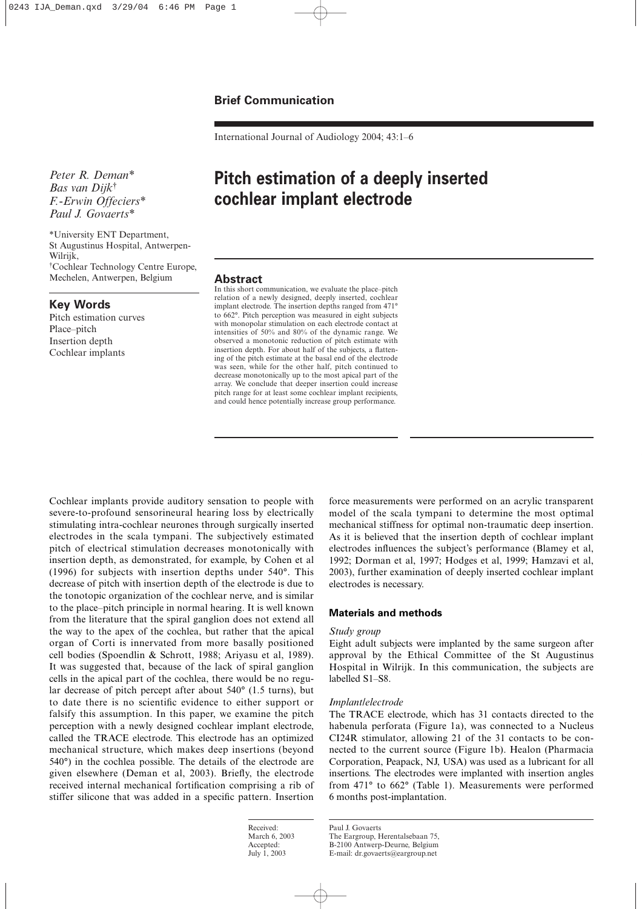International Journal of Audiology 2004; 43:1–6

*Peter R. Deman\* Bas van Dijk*† *F.-Erwin Offeciers\* Paul J. Govaerts\**

\*University ENT Department, St Augustinus Hospital, Antwerpen-Wilrijk, † Cochlear Technology Centre Europe, Mechelen, Antwerpen, Belgium

## **Key Words**

Pitch estimation curves Place–pitch Insertion depth Cochlear implants

# **Pitch estimation of a deeply inserted cochlear implant electrode**

## **Abstract**

In this short communication, we evaluate the place–pitch relation of a newly designed, deeply inserted, cochlear implant electrode. The insertion depths ranged from 471° to 662°. Pitch perception was measured in eight subjects with monopolar stimulation on each electrode contact at intensities of 50% and 80% of the dynamic range. We observed a monotonic reduction of pitch estimate with insertion depth. For about half of the subjects, a flattening of the pitch estimate at the basal end of the electrode was seen, while for the other half, pitch continued to decrease monotonically up to the most apical part of the array. We conclude that deeper insertion could increase pitch range for at least some cochlear implant recipients, and could hence potentially increase group performance.

Cochlear implants provide auditory sensation to people with severe-to-profound sensorineural hearing loss by electrically stimulating intra-cochlear neurones through surgically inserted electrodes in the scala tympani. The subjectively estimated pitch of electrical stimulation decreases monotonically with insertion depth, as demonstrated, for example, by Cohen et al (1996) for subjects with insertion depths under 540°. This decrease of pitch with insertion depth of the electrode is due to the tonotopic organization of the cochlear nerve, and is similar to the place–pitch principle in normal hearing. It is well known from the literature that the spiral ganglion does not extend all the way to the apex of the cochlea, but rather that the apical organ of Corti is innervated from more basally positioned cell bodies (Spoendlin & Schrott, 1988; Ariyasu et al, 1989). It was suggested that, because of the lack of spiral ganglion cells in the apical part of the cochlea, there would be no regular decrease of pitch percept after about 540° (1.5 turns), but to date there is no scientific evidence to either support or falsify this assumption. In this paper, we examine the pitch perception with a newly designed cochlear implant electrode, called the TRACE electrode. This electrode has an optimized mechanical structure, which makes deep insertions (beyond 540°) in the cochlea possible. The details of the electrode are given elsewhere (Deman et al, 2003). Briefly, the electrode received internal mechanical fortification comprising a rib of stiffer silicone that was added in a specific pattern. Insertion force measurements were performed on an acrylic transparent model of the scala tympani to determine the most optimal mechanical stiffness for optimal non-traumatic deep insertion. As it is believed that the insertion depth of cochlear implant electrodes influences the subject's performance (Blamey et al, 1992; Dorman et al, 1997; Hodges et al, 1999; Hamzavi et al, 2003), further examination of deeply inserted cochlear implant electrodes is necessary.

## **Materials and methods**

### *Study group*

Eight adult subjects were implanted by the same surgeon after approval by the Ethical Committee of the St Augustinus Hospital in Wilrijk. In this communication, the subjects are labelled S1–S8.

#### *Implant/electrode*

The TRACE electrode, which has 31 contacts directed to the habenula perforata (Figure 1a), was connected to a Nucleus CI24R stimulator, allowing 21 of the 31 contacts to be connected to the current source (Figure 1b). Healon (Pharmacia Corporation, Peapack, NJ, USA) was used as a lubricant for all insertions. The electrodes were implanted with insertion angles from 471° to 662° (Table 1). Measurements were performed 6 months post-implantation.

Received: March 6, 2003 Accepted: July 1, 2003

Paul J. Govaerts The Eargroup, Herentalsebaan 75, B-2100 Antwerp-Deurne, Belgium E-mail: dr.govaerts@eargroup.net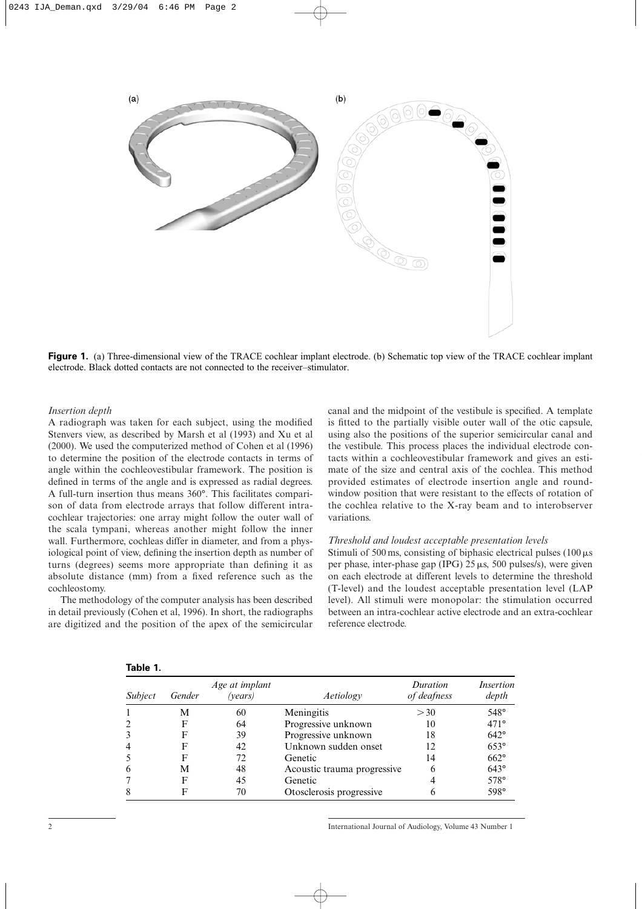

**Figure 1.** (a) Three-dimensional view of the TRACE cochlear implant electrode. (b) Schematic top view of the TRACE cochlear implant electrode. Black dotted contacts are not connected to the receiver–stimulator.

#### *Insertion depth*

A radiograph was taken for each subject, using the modified Stenvers view, as described by Marsh et al (1993) and Xu et al (2000). We used the computerized method of Cohen et al (1996) to determine the position of the electrode contacts in terms of angle within the cochleovestibular framework. The position is defined in terms of the angle and is expressed as radial degrees. A full-turn insertion thus means 360°. This facilitates comparison of data from electrode arrays that follow different intracochlear trajectories: one array might follow the outer wall of the scala tympani, whereas another might follow the inner wall. Furthermore, cochleas differ in diameter, and from a physiological point of view, defining the insertion depth as number of turns (degrees) seems more appropriate than defining it as absolute distance (mm) from a fixed reference such as the cochleostomy.

The methodology of the computer analysis has been described in detail previously (Cohen et al, 1996). In short, the radiographs are digitized and the position of the apex of the semicircular canal and the midpoint of the vestibule is specified. A template is fitted to the partially visible outer wall of the otic capsule, using also the positions of the superior semicircular canal and the vestibule. This process places the individual electrode contacts within a cochleovestibular framework and gives an estimate of the size and central axis of the cochlea. This method provided estimates of electrode insertion angle and roundwindow position that were resistant to the effects of rotation of the cochlea relative to the X-ray beam and to interobserver variations.

#### *Threshold and loudest acceptable presentation levels*

Stimuli of 500 ms, consisting of biphasic electrical pulses (100  $\mu$ s) per phase, inter-phase gap (IPG)  $25 \mu s$ , 500 pulses/s), were given on each electrode at different levels to determine the threshold (T-level) and the loudest acceptable presentation level (LAP level). All stimuli were monopolar: the stimulation occurred between an intra-cochlear active electrode and an extra-cochlear reference electrode.

| Subject | Gender | Age at implant<br>(vears) | Aetiology                   | Duration<br>of deafness | <i>Insertion</i><br>depth |
|---------|--------|---------------------------|-----------------------------|-------------------------|---------------------------|
|         | М      | 60                        | Meningitis                  | > 30                    | 548°                      |
|         | F      | 64                        | Progressive unknown         | 10                      | $471^\circ$               |
|         | F      | 39                        | Progressive unknown         | 18                      | $642^\circ$               |
|         | F      | 42                        | Unknown sudden onset        | 12                      | $653^\circ$               |
|         | F      | 72                        | Genetic                     | 14                      | $662^\circ$               |
|         | М      | 48                        | Acoustic trauma progressive |                         | $643^\circ$               |
|         | F      | 45                        | Genetic                     |                         | 578°                      |
|         | F      | 70                        | Otosclerosis progressive    |                         | 598°                      |

| ı<br>п |  |
|--------|--|
|--------|--|

2 International Journal of Audiology, Volume 43 Number 1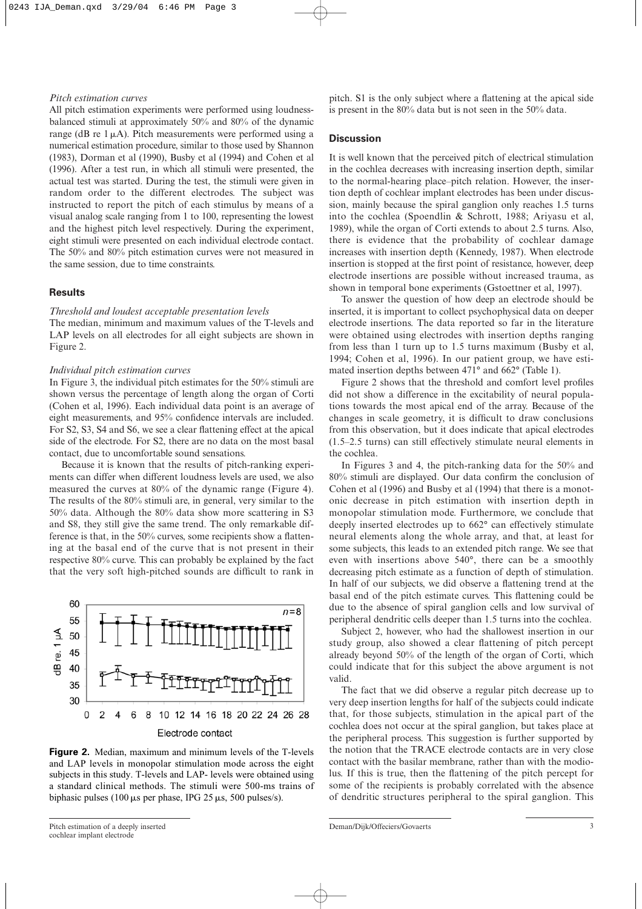#### *Pitch estimation curves*

All pitch estimation experiments were performed using loudnessbalanced stimuli at approximately 50% and 80% of the dynamic range (dB re  $1 \mu$ A). Pitch measurements were performed using a numerical estimation procedure, similar to those used by Shannon (1983), Dorman et al (1990), Busby et al (1994) and Cohen et al (1996). After a test run, in which all stimuli were presented, the actual test was started. During the test, the stimuli were given in random order to the different electrodes. The subject was instructed to report the pitch of each stimulus by means of a visual analog scale ranging from 1 to 100, representing the lowest and the highest pitch level respectively. During the experiment, eight stimuli were presented on each individual electrode contact. The 50% and 80% pitch estimation curves were not measured in the same session, due to time constraints.

## **Results**

#### *Threshold and loudest acceptable presentation levels*

The median, minimum and maximum values of the T-levels and LAP levels on all electrodes for all eight subjects are shown in Figure 2.

## *Individual pitch estimation curves*

In Figure 3, the individual pitch estimates for the 50% stimuli are shown versus the percentage of length along the organ of Corti (Cohen et al, 1996). Each individual data point is an average of eight measurements, and 95% confidence intervals are included. For S2, S3, S4 and S6, we see a clear flattening effect at the apical side of the electrode. For S2, there are no data on the most basal contact, due to uncomfortable sound sensations.

Because it is known that the results of pitch-ranking experiments can differ when different loudness levels are used, we also measured the curves at 80% of the dynamic range (Figure 4). The results of the 80% stimuli are, in general, very similar to the 50% data. Although the 80% data show more scattering in S3 and S8, they still give the same trend. The only remarkable difference is that, in the 50% curves, some recipients show a flattening at the basal end of the curve that is not present in their respective 80% curve. This can probably be explained by the fact that the very soft high-pitched sounds are difficult to rank in



**Figure 2.** Median, maximum and minimum levels of the T-levels and LAP levels in monopolar stimulation mode across the eight subjects in this study. T-levels and LAP- levels were obtained using a standard clinical methods. The stimuli were 500-ms trains of biphasic pulses (100  $\mu$ s per phase, IPG 25  $\mu$ s, 500 pulses/s).

pitch. S1 is the only subject where a flattening at the apical side is present in the 80% data but is not seen in the 50% data.

#### **Discussion**

It is well known that the perceived pitch of electrical stimulation in the cochlea decreases with increasing insertion depth, similar to the normal-hearing place–pitch relation. However, the insertion depth of cochlear implant electrodes has been under discussion, mainly because the spiral ganglion only reaches 1.5 turns into the cochlea (Spoendlin & Schrott, 1988; Ariyasu et al, 1989), while the organ of Corti extends to about 2.5 turns. Also, there is evidence that the probability of cochlear damage increases with insertion depth (Kennedy, 1987). When electrode insertion is stopped at the first point of resistance, however, deep electrode insertions are possible without increased trauma, as shown in temporal bone experiments (Gstoettner et al, 1997).

To answer the question of how deep an electrode should be inserted, it is important to collect psychophysical data on deeper electrode insertions. The data reported so far in the literature were obtained using electrodes with insertion depths ranging from less than 1 turn up to 1.5 turns maximum (Busby et al, 1994; Cohen et al, 1996). In our patient group, we have estimated insertion depths between 471° and 662° (Table 1).

Figure 2 shows that the threshold and comfort level profiles did not show a difference in the excitability of neural populations towards the most apical end of the array. Because of the changes in scale geometry, it is difficult to draw conclusions from this observation, but it does indicate that apical electrodes (1.5–2.5 turns) can still effectively stimulate neural elements in the cochlea.

In Figures 3 and 4, the pitch-ranking data for the 50% and 80% stimuli are displayed. Our data confirm the conclusion of Cohen et al (1996) and Busby et al (1994) that there is a monotonic decrease in pitch estimation with insertion depth in monopolar stimulation mode. Furthermore, we conclude that deeply inserted electrodes up to 662° can effectively stimulate neural elements along the whole array, and that, at least for some subjects, this leads to an extended pitch range. We see that even with insertions above 540°, there can be a smoothly decreasing pitch estimate as a function of depth of stimulation. In half of our subjects, we did observe a flattening trend at the basal end of the pitch estimate curves. This flattening could be due to the absence of spiral ganglion cells and low survival of peripheral dendritic cells deeper than 1.5 turns into the cochlea.

Subject 2, however, who had the shallowest insertion in our study group, also showed a clear flattening of pitch percept already beyond 50% of the length of the organ of Corti, which could indicate that for this subject the above argument is not valid.

The fact that we did observe a regular pitch decrease up to very deep insertion lengths for half of the subjects could indicate that, for those subjects, stimulation in the apical part of the cochlea does not occur at the spiral ganglion, but takes place at the peripheral process. This suggestion is further supported by the notion that the TRACE electrode contacts are in very close contact with the basilar membrane, rather than with the modiolus. If this is true, then the flattening of the pitch percept for some of the recipients is probably correlated with the absence of dendritic structures peripheral to the spiral ganglion. This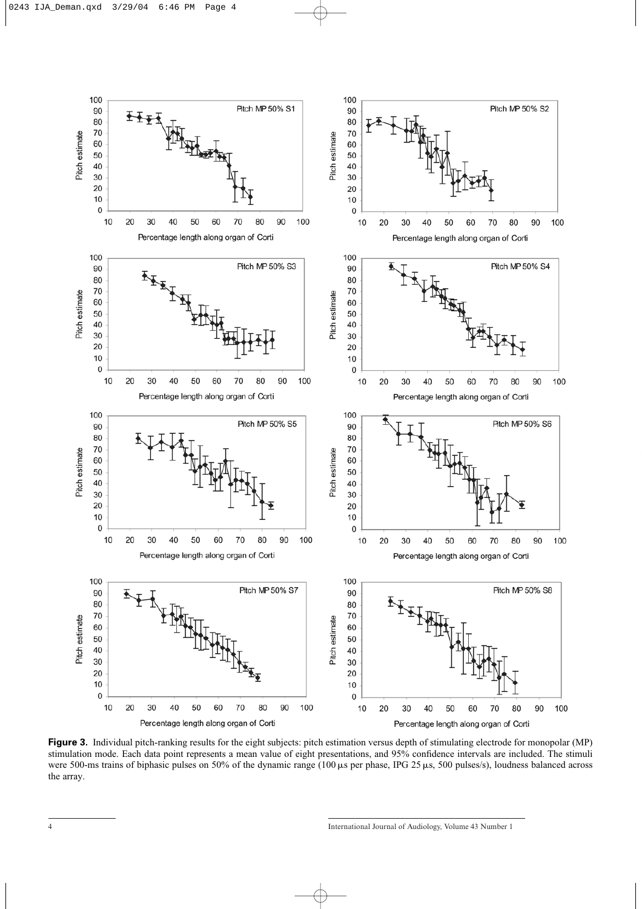

**Figure 3.** Individual pitch-ranking results for the eight subjects: pitch estimation versus depth of stimulating electrode for monopolar (MP) stimulation mode. Each data point represents a mean value of eight presentations, and 95% confidence intervals are included. The stimuli were 500-ms trains of biphasic pulses on 50% of the dynamic range (100  $\mu$ s per phase, IPG 25 $\mu$ s, 500 pulses/s), loudness balanced across the array.

<sup>4</sup> International Journal of Audiology, Volume 43 Number 1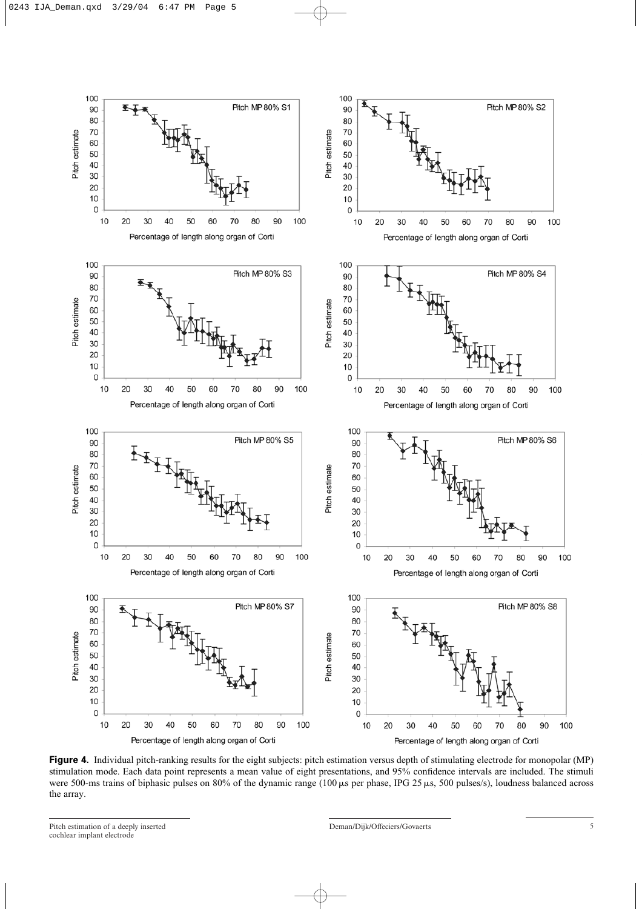

**Figure 4.** Individual pitch-ranking results for the eight subjects: pitch estimation versus depth of stimulating electrode for monopolar (MP) stimulation mode. Each data point represents a mean value of eight presentations, and 95% confidence intervals are included. The stimuli were 500-ms trains of biphasic pulses on 80% of the dynamic range (100  $\mu$ s per phase, IPG 25  $\mu$ s, 500 pulses/s), loudness balanced across the array.

Pitch estimation of a deeply inserted 5<br>
5 cochlear implant electrode